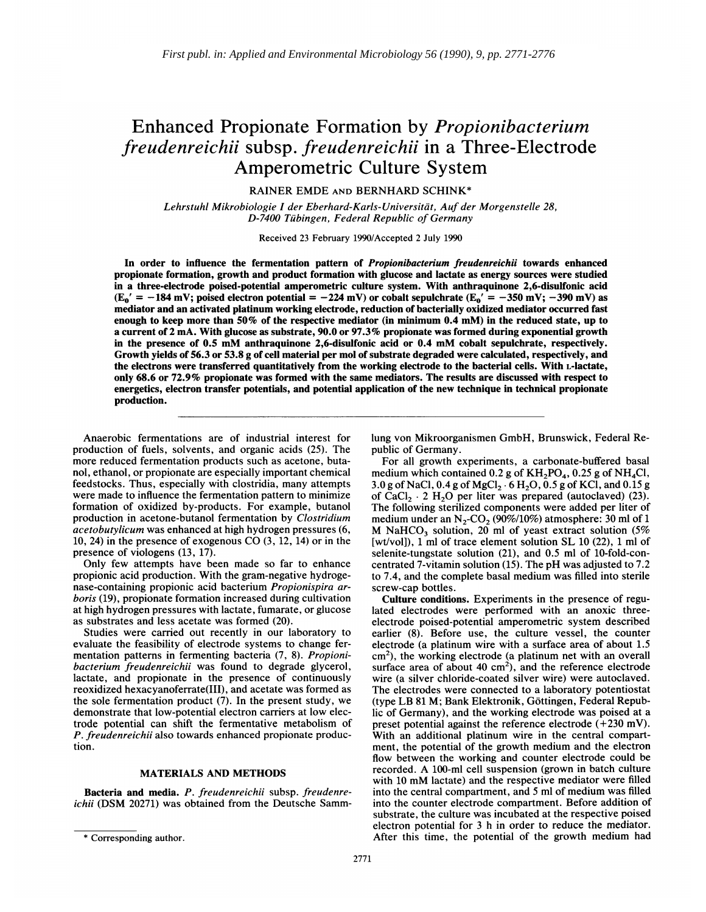# Enhanced Propionate Formation by Propionibacterium freudenreichii subsp. freudenreichii in a Three-Electrode Amperometric Culture System

RAINER EMDE AND BERNHARD SCHINK\*

Lehrstuhl Mikrobiologie I der Eberhard-Karls-Universitat, Auf der Morgenstelle 28, D-7400 Tubingen, Federal Republic of Germany

Received 23 February 1990/Accepted 2 July 1990

In order to influence the fermentation pattern of *Propionibacterium freudenreichii* towards enhanced propionate formation, growth and product formation with glucose and lactate as energy sources were studied in a three-electrode poised-potential amperometric culture system. With anthraquinone 2,6-disulfonic acid  $(E_0' = -184 \text{ mV};$  poised electron potential = -224 mV) or cobalt sepulchrate  $(E_0' = -350 \text{ mV}; -390 \text{ mV})$  as mediator and an activated platinum working electrode, reduction of bacterially oxidized mediator occurred fast enough to keep more than 50% of the respective mediator (in minimum 0.4 mM) in the reduced state, up to a current of 2 mA. With glucose as substrate, 90.0 or 97.3% propionate was formed during exponential growth in the presence of 0.5 mM anthraquinone 2,6-disulfonic acid or 0.4 mM cobalt sepulchrate, respectively. Growth yields of 56.3 or 53.8 g of cell material per mol of substrate degraded were calculated, respectively, and the electrons were transferred quantitatively from the working electrode to the bacterial cells. With L-lactate, only 68.6 or 72.9% propionate was formed with the same mediators. The results are discussed with respect to energetics, electron transfer potentials, and potential application of the new technique in technical propionate production.

Anaerobic fermentations are of industrial interest for production of fuels, solvents, and organic acids (25). The more reduced fermentation products such as acetone, butanol, ethanol, or propionate are especially important chemical feedstocks. Thus, especially with clostridia, many attempts were made to influence the fermentation pattern to minimize formation of oxidized by-products. For example, butanol production in acetone-butanol fermentation by Clostridium acetobutylicum was enhanced at high hydrogen pressures (6, 10, 24) in the presence of exogenous CO (3, 12, 14) or in the presence of viologens (13, 17).

Only few attempts have been made so far to enhance propionic acid production. With the gram-negative hydrogenase-containing propionic acid bacterium Propionispira arboris (19), propionate formation increased during cultivation at high hydrogen pressures with lactate, fumarate, or glucose as substrates and less acetate was formed (20).

Studies were carried out recently in our laboratory to evaluate the feasibility of electrode systems to change fermentation patterns in fermenting bacteria (7, 8). Propionibacterium freudenreichii was found to degrade glycerol, lactate, and propionate in the presence of continuously reoxidized hexacyanoferrate(III), and acetate was formed as the sole fermentation product (7). In the present study, we demonstrate that low-potential electron carriers at low electrode potential can shift the fermentative metabolism of P. freudenreichii also towards enhanced propionate production.

## MATERIALS AND METHODS

Bacteria and media. P. freudenreichii subsp. freudenreichii (DSM 20271) was obtained from the Deutsche Sammlung von Mikroorganismen GmbH, Brunswick, Federal Republic of Germany.

For all growth experiments, a carbonate-buffered basal medium which contained 0.2 g of  $KH_2PO_4$ , 0.25 g of NH<sub>4</sub>Cl, 3.0 g of NaCl, 0.4 g of MgCl<sub>2</sub>. 6 H<sub>2</sub>O, 0.5 g of KCl, and 0.15 g of CaCl<sub>2</sub>  $\cdot$  2 H<sub>2</sub>O per liter was prepared (autoclaved) (23). The following sterilized components were added per liter of medium under an  $N_2$ -CO<sub>2</sub> (90%/10%) atmosphere: 30 ml of 1 M NaHCO<sub>3</sub> solution, 20 ml of yeast extract solution (5%) [wt/vol]), <sup>1</sup> ml of trace element solution SL 10 (22), <sup>1</sup> ml of selenite-tungstate solution (21), and 0.5 ml of 10-fold-concentrated 7-vitamin solution (15). The pH was adjusted to 7.2 to 7.4, and the complete basal medium was filled into sterile screw-cap bottles.

Culture conditions. Experiments in the presence of regulated electrodes were performed with an anoxic threeelectrode poised-potential amperometric system described earlier (8). Before use, the culture vessel, the counter electrode (a platinum wire with a surface area of about 1.5  $\text{cm}^2$ ), the working electrode (a platinum net with an overall surface area of about  $40 \text{ cm}^2$ ), and the reference electrode wire (a silver chloride-coated silver wire) were autoclaved. The electrodes were connected to a laboratory potentiostat (type LB <sup>81</sup> M; Bank Elektronik, Gottingen, Federal Republic of Germany), and the working electrode was poised at a preset potential against the reference electrode (+230 mV). With an additional platinum wire in the central compartment, the potential of the growth medium and the electron flow between the working and counter electrode could be recorded. A 100-ml cell suspension (grown in batch culture with <sup>10</sup> mM lactate) and the respective mediator were filled into the central compartment, and <sup>5</sup> ml of medium was filled into the counter electrode compartment. Before addition of substrate, the culture was incubated at the respective poised electron potential for 3 h in order to reduce the mediator. After this time, the potential of the growth medium had

<sup>\*</sup> Corresponding author.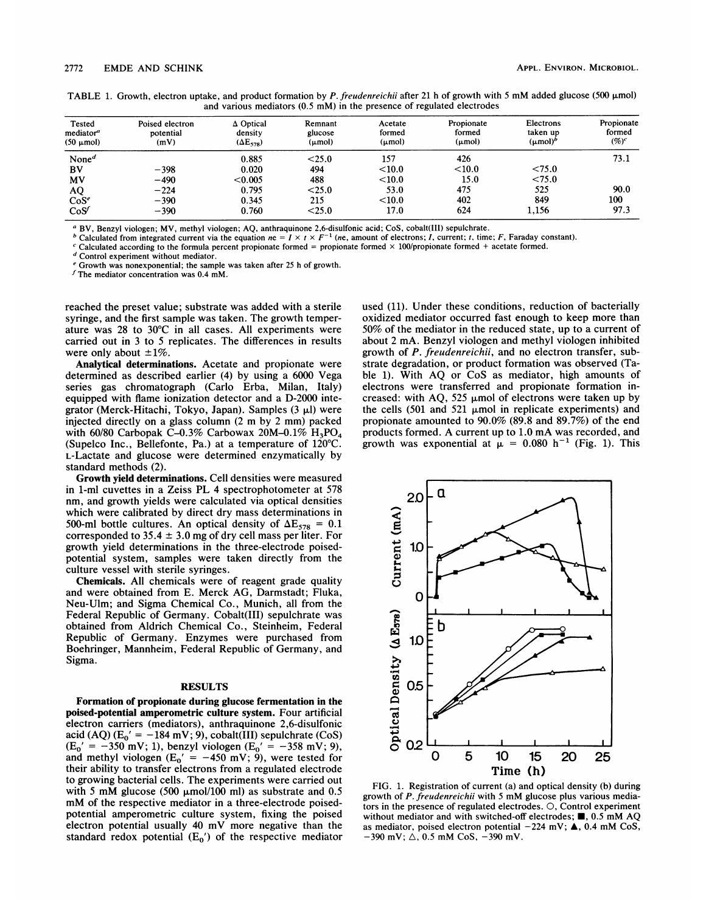TABLE 1. Growth, electron uptake, and product formation by P. freudenreichii after 21 h of growth with 5 mM added glucose (500  $\mu$ mol) and various mediators (0.5 mM) in the presence of regulated electrodes

| Tested<br>mediator <sup>a</sup> | Poised electron<br>potential | $\Delta$ Optical<br>Remnant<br>density<br>glucose |             | Acetate<br>formed  | Propionate<br>formed | Electrons<br>taken up | Propionate<br>formed |  |
|---------------------------------|------------------------------|---------------------------------------------------|-------------|--------------------|----------------------|-----------------------|----------------------|--|
| $(50 \mu \text{mol})$           | (mV)                         | $(\Delta E_{578})$                                | $(\mu mol)$ | $(\mu \text{mol})$ | (µmol)               | $(\mu \text{mol})^b$  | $(\%)^c$             |  |
| None <sup><math>d</math></sup>  |                              | 0.885                                             | < 25.0      | 157                | 426                  |                       | 73.1                 |  |
| BV                              | $-398$                       | 0.020                                             | 494         | $<$ 10.0           | < 10.0               | < 75.0                |                      |  |
| MV                              | $-490$                       | < 0.005                                           | 488         | $<$ 10.0           | 15.0                 | < 75.0                |                      |  |
| AQ                              | $-224$                       | 0.795                                             | < 25.0      | 53.0               | 475                  | 525                   | 90.0                 |  |
| $\cos^e$                        | $-390$                       | 0.345                                             | 215         | < 10.0             | 402                  | 849                   | 100                  |  |
| CoS'                            | $-390$                       | 0.760                                             | $<$ 25.0    | 17.0               | 624                  | 1,156                 | 97.3                 |  |

<sup>a</sup> BV, Benzyl viologen; MV, methyl viologen; AQ, anthraquinone 2,6-disulfonic acid; CoS, cobalt(III) sepulchrate.

<sup>b</sup> Calculated from integrated current via the equation  $ne = I \times t \times F^{-1}$  (ne, amount of electrons; *I*, current; *t*, time; *F*, Faraday constant).

Calculated according to the formula percent propionate formed = propionate formed  $\times$  100/propionate formed + acetate formed.

<sup>d</sup> Control experiment without mediator.

<sup>e</sup> Growth was nonexponential; the sample was taken after 25 h of growth.

 $f$  The mediator concentration was 0.4 mM.

reached the preset value; substrate was added with a sterile syringe, and the first sample was taken. The growth temperature was 28 to 30°C in all cases. All experiments were carried out in 3 to 5 replicates. The differences in results were only about  $\pm 1\%$ .

Analytical determinations. Acetate and propionate were determined as described earlier (4) by using a 6000 Vega series gas chromatograph (Carlo Erba, Milan, Italy) equipped with flame ionization detector and a D-2000 integrator (Merck-Hitachi, Tokyo, Japan). Samples  $(3 \mu l)$  were injected directly on <sup>a</sup> glass column (2 m by <sup>2</sup> mm) packed with 60/80 Carbopak C-0.3% Carbowax 20M-0.1%  $H_3PO_4$ (Supelco Inc., Bellefonte, Pa.) at a temperature of 120°C. L-Lactate and glucose were determined enzymatically by standard methods (2).

Growth yield determinations. Cell densities were measured in 1-ml cuvettes in a Zeiss PL 4 spectrophotometer at 578 nm, and growth yields were calculated via optical densities which were calibrated by direct dry mass determinations in 500-ml bottle cultures. An optical density of  $\Delta E_{578} = 0.1$ corresponded to  $35.4 \pm 3.0$  mg of dry cell mass per liter. For growth yield determinations in the three-electrode poisedpotential system, samples were taken directly from the culture vessel with sterile syringes.

Chemicals. All chemicals were of reagent grade quality and were obtained from E. Merck AG, Darmstadt; Fluka, Neu-Ulm; and Sigma Chemical Co., Munich, all from the Federal Republic of Germany. Cobalt(III) sepulchrate was obtained from Aldrich Chemical Co., Steinheim, Federal Republic of Germany. Enzymes were purchased from Boehringer, Mannheim, Federal Republic of Germany, and Sigma.

#### RESULTS

Formation of propionate during glucose fermentation in the poised-potential amperometric culture system. Four artificial electron carriers (mediators), anthraquinone 2,6-disulfonic acid (AQ) ( $E_0' = -184$  mV; 9), cobalt(III) sepulchrate (CoS)  $(E_0' = -350 \text{ mV}; 1)$ , benzyl viologen  $(E_0' = -358 \text{ mV}; 9)$ , and methyl viologen ( $E_0' = -450$  mV; 9), were tested for their ability to transfer electrons from a regulated electrode to growing bacterial cells. The experiments were carried out with 5 mM glucose (500  $\mu$ mol/100 ml) as substrate and 0.5 mM of the respective mediator in <sup>a</sup> three-electrode poisedpotential amperometric culture system, fixing the poised electron potential usually <sup>40</sup> mV more negative than the standard redox potential  $(E_0')$  of the respective mediator

used (11). Under these conditions, reduction of bacterially oxidized mediator occurred fast enough to keep more than 50% of the mediator in the reduced state, up to a current of about 2 mA. Benzyl viologen and methyl viologen inhibited growth of P. freudenreichii, and no electron transfer, substrate degradation, or product formation was observed (Table 1). With AQ or CoS as mediator, high amounts of electrons were transferred and propionate formation increased: with AQ, 525  $\mu$ mol of electrons were taken up by the cells (501 and 521  $\mu$ mol in replicate experiments) and propionate amounted to 90.0% (89.8 and 89.7%) of the end products formed. A current up to 1.0 mA was recorded, and growth was exponential at  $\mu = 0.080$  h<sup>-1</sup> (Fig. 1). This



FIG. 1. Registration of current (a) and optical density (b) during growth of P. freudenreichii with <sup>5</sup> mM glucose plus various mediators in the presence of regulated electrodes. 0, Control experiment without mediator and with switched-off electrodes;  $\blacksquare$ , 0.5 mM AQ as mediator, poised electron potential  $-224$  mV;  $\triangle$ , 0.4 mM CoS,  $-390$  mV;  $\triangle$ , 0.5 mM CoS,  $-390$  mV.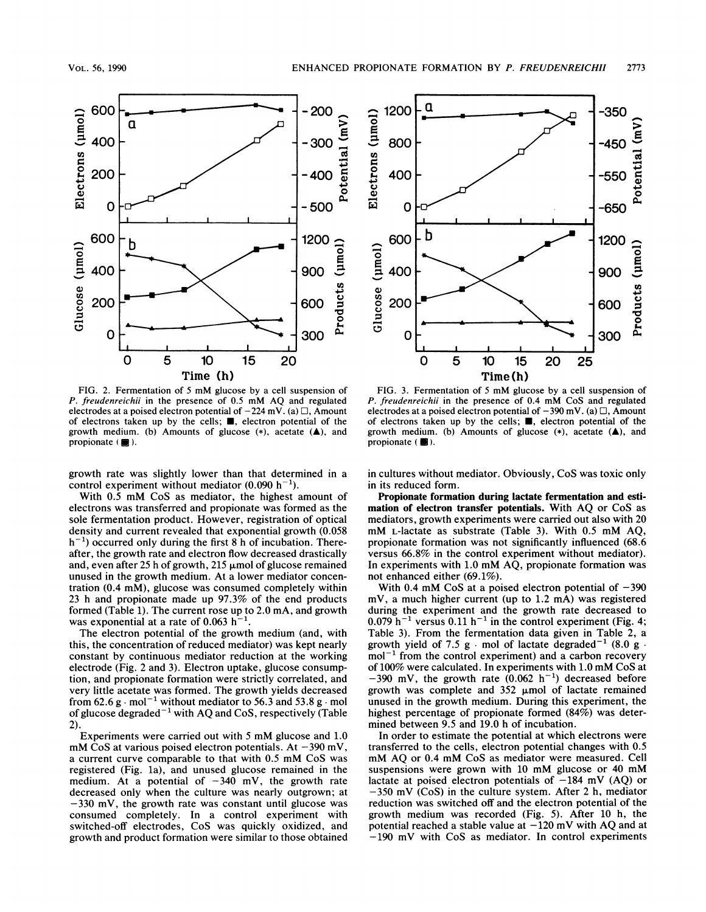

FIG. 2. Fermentation of <sup>5</sup> mM glucose by <sup>a</sup> cell suspension of P. freudenreichii in the presence of 0.5 mM AQ and regulated electrodes at a poised electron potential of  $-224$  mV. (a)  $\Box$ , Amount of electrons taken up by the cells;  $\blacksquare$ , electron potential of the growth medium. (b) Amounts of glucose  $(*)$ , acetate  $(\triangle)$ , and propionate  $(\blacksquare)$ .

growth rate was slightly lower than that determined in a control experiment without mediator  $(0.090 h^{-1})$ .

With 0.5 mM CoS as mediator, the highest amount of electrons was transferred and propionate was formed as the sole fermentation product. However, registration of optical density and current revealed that exponential growth (0.058  $h^{-1}$ ) occurred only during the first 8 h of incubation. Thereafter, the growth rate and electron flow decreased drastically and, even after 25 h of growth, 215  $\mu$ mol of glucose remained unused in the growth medium. At a lower mediator concentration  $(0.4 \text{ m})$ , glucose was consumed completely within 23 h and propionate made up 97.3% of the end products formed (Table 1). The current rose up to 2.0 mA, and growth was exponential at a rate of 0.063  $h^{-1}$ .

The electron potential of the growth medium (and, with this, the concentration of reduced mediator) was kept nearly constant by continuous mediator reduction at the working electrode (Fig. 2 and 3). Electron uptake, glucose consumption, and propionate formation were strictly correlated, and very little acetate was formed. The growth yields decreased from 62.6 g  $\cdot$  mol<sup>-1</sup> without mediator to 56.3 and 53.8 g  $\cdot$  mol of glucose degraded<sup> $-1$ </sup> with AQ and CoS, respectively (Table 2).

Experiments were carried out with <sup>5</sup> mM glucose and 1.0 mM CoS at various poised electron potentials. At  $-390$  mV, <sup>a</sup> current curve comparable to that with 0.5 mM CoS was registered (Fig. la), and unused glucose remained in the medium. At a potential of  $-340$  mV, the growth rate decreased only when the culture was nearly outgrown; at  $-330$  mV, the growth rate was constant until glucose was consumed completely. In a control experiment with switched-off electrodes, CoS was quickly oxidized, and growth and product formation were similar to those obtained



FIG. 3. Fermentation of <sup>5</sup> mM glucose by <sup>a</sup> cell suspension of P. freudenreichii in the presence of 0.4 mM CoS and regulated electrodes at a poised electron potential of  $-390$  mV. (a)  $\Box$ , Amount of electrons taken up by the cells;  $\blacksquare$ , electron potential of the growth medium. (b) Amounts of glucose  $(*)$ , acetate  $(\triangle)$ , and propionate  $(\blacksquare)$ .

in cultures without mediator. Obviously, CoS was toxic only in its reduced form.

Propionate formation during lactate fermentation and estimation of electron transfer potentials. With AQ or CoS as mediators, growth experiments were carried out also with 20 mM L-lactate as substrate (Table 3). With 0.5 mM AQ, propionate formation was not significantly influenced (68.6 versus 66.8% in the control experiment without mediator). In experiments with 1.0 mM AQ, propionate formation was not enhanced either (69.1%).

With 0.4 mM CoS at a poised electron potential of  $-390$ mV, a much higher current (up to 1.2 mA) was registered during the experiment and the growth rate decreased to  $0.079$  h<sup>-1</sup> versus  $0.11$  h<sup>-1</sup> in the control experiment (Fig. 4; Table 3). From the fermentation data given in Table 2, a growth yield of 7.5 g  $\cdot$  mol of lactate degraded<sup>-1</sup> (8.0 g  $\cdot$  $mol^{-1}$  from the control experiment) and a carbon recovery of 100% were calculated. In experiments with 1.0 mM CoS at  $-390$  mV, the growth rate  $(0.062 \text{ h}^{-1})$  decreased before growth was complete and  $352 \mu$ mol of lactate remained unused in the growth medium. During this experiment, the highest percentage of propionate formed (84%) was determined between 9.5 and 19.0 h of incubation.

In order to estimate the potential at which electrons were transferred to the cells, electron potential changes with 0.5 mM AQ or 0.4 mM CoS as mediator were measured. Cell suspensions were grown with <sup>10</sup> mM glucose or <sup>40</sup> mM lactate at poised electron potentials of  $-184$  mV (AQ) or -350 mV (CoS) in the culture system. After <sup>2</sup> h, mediator reduction was switched off and the electron potential of the growth medium was recorded (Fig. 5). After 10 h, the potential reached a stable value at  $-120$  mV with AQ and at -190 mV with CoS as mediator. In control experiments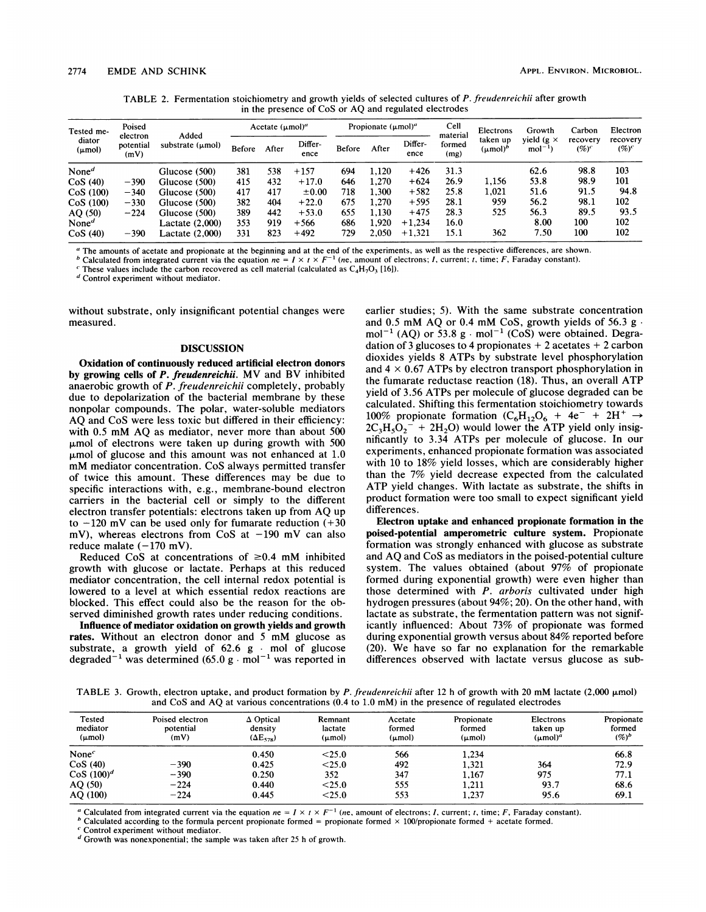TABLE 2. Fermentation stoichiometry and growth yields of selected cultures of P. freudenreichii after growth in the presence of CoS or AQ and regulated electrodes

| Tested me-<br>diator<br>$(\mu mol)$ | Poised<br>electron<br>potential<br>(mV) | Added<br>substrate $(\mu \text{mol})$ | Acetate $(\mu mol)^{a}$ |       | Propionate $(\mu mol)^a$ |        |       | Cell            | Electrons                  | Growth                    | Carbon                        | Electron             |                      |
|-------------------------------------|-----------------------------------------|---------------------------------------|-------------------------|-------|--------------------------|--------|-------|-----------------|----------------------------|---------------------------|-------------------------------|----------------------|----------------------|
|                                     |                                         |                                       | <b>Before</b>           | After | Differ-<br>ence          | Before | After | Differ-<br>ence | material<br>formed<br>(mg) | taken up<br>$(\mu mol)^b$ | yield ( $g \times$<br>$mol-1$ | recovery<br>$(\%)^c$ | recovery<br>$(\%)^c$ |
| None <sup><math>d</math></sup>      |                                         | Glucose (500)                         | 381                     | 538   | $+157$                   | 694    | 1.120 | $+426$          | 31.3                       |                           | 62.6                          | 98.8                 | 103                  |
| CoS(40)                             | $-390$                                  | Glucose (500)                         | 415                     | 432   | $+17.0$                  | 646    | 1,270 | $+624$          | 26.9                       | 1.156                     | 53.8                          | 98.9                 | 101                  |
| CoS(100)                            | $-340$                                  | Glucose (500)                         | 417                     | 417   | $\pm 0.00$               | 718    | 1,300 | $+582$          | 25.8                       | 0.021                     | 51.6                          | 91.5                 | 94.8                 |
| CoS(100)                            | $-330$                                  | Glucose (500)                         | 382                     | 404   | $+22.0$                  | 675    | 1.270 | $+595$          | 28.1                       | 959                       | 56.2                          | 98.1                 | 102                  |
| AO(50)                              | $-224$                                  | Glucose (500)                         | 389                     | 442   | $+53.0$                  | 655    | 1.130 | $+475$          | 28.3                       | 525                       | 56.3                          | 89.5                 | 93.5                 |
| None <sup><math>d</math></sup>      |                                         | Lactate (2,000)                       | 353                     | 919   | $+566$                   | 686    | 1.920 | $+1.234$        | 16.0                       |                           | 8.00                          | 100                  | 102                  |
| CoS(40)                             | $-390$                                  | Lactate (2,000)                       | 331                     | 823   | $+492$                   | 729    | 2.050 | $+1,321$        | 15.1                       | 362                       | 7.50                          | 100                  | 102                  |

The amounts of acetate and propionate at the beginning and at the end of the experiments, as well as the respective differences, are shown.

b Calculated from integrated current via the equation  $ne = I \times t \times F^{-1}$  (ne, amount of electrons; I, current; I, time; F, Faraday constant).

These values include the carbon recovered as cell material (calculated as  $C_4H_7O_3$  [16]).

<sup>d</sup> Control experiment without mediator.

without substrate, only insignificant potential changes were measured.

## **DISCUSSION**

Oxidation of continuously reduced artificial electron donors by growing cells of P. freudenreichii. MV and BV inhibited anaerobic growth of P. freudenreichii completely, probably due to depolarization of the bacterial membrane by these nonpolar compounds. The polar, water-soluble mediators AQ and CoS were less toxic but differed in their efficiency: with 0.5 mM AQ as mediator, never more than about <sup>500</sup>  $\mu$ mol of electrons were taken up during growth with 500  $\mu$ mol of glucose and this amount was not enhanced at 1.0 mM mediator concentration. CoS always permitted transfer of twice this amount. These differences may be due to specific interactions with, e.g., membrane-bound electron carriers in the bacterial cell or simply to the different electron transfer potentials: electrons taken up from AQ up to  $-120$  mV can be used only for fumarate reduction  $(+30)$ mV), whereas electrons from CoS at  $-190$  mV can also reduce malate  $(-170$  mV).

Reduced CoS at concentrations of  $\geq 0.4$  mM inhibited growth with glucose or lactate. Perhaps at this reduced mediator concentration, the cell internal redox potential is lowered to a level at which essential redox reactions are blocked. This effect could also be the reason for the observed diminished growth rates under reducing conditions.

Influence of mediator oxidation on growth yields and growth rates. Without an electron donor and <sup>5</sup> mM glucose as substrate, a growth yield of  $62.6$  g  $\cdot$  mol of glucose degraded<sup>-1</sup> was determined (65.0 g  $\cdot$  mol<sup>-1</sup> was reported in earlier studies; 5). With the same substrate concentration and  $0.5$  mM AQ or  $0.4$  mM CoS, growth yields of  $56.3$  g. mol<sup>-1</sup> (AQ) or 53.8 g · mol<sup>-1</sup> (CoS) were obtained. Degradation of 3 glucoses to 4 propionates  $+2$  acetates  $+2$  carbon dioxides yields <sup>8</sup> ATPs by substrate level phosphorylation and  $4 \times 0.67$  ATPs by electron transport phosphorylation in the fumarate reductase reaction (18). Thus, an overall ATP yield of 3.56 ATPs per molecule of glucose degraded can be calculated. Shifting this fermentation stoichiometry towards 100% propionate formation  $(C_6H_{12}O_6 + 4e^- + 2H^+ \rightarrow$  $2C_3H_5O_2$ <sup>-</sup> + 2H<sub>2</sub>O) would lower the ATP yield only insignificantly to 3.34 ATPs per molecule of glucose. In our experiments, enhanced propionate formation was associated with 10 to 18% yield losses, which are considerably higher than the 7% yield decrease expected from the calculated ATP yield changes. With lactate as substrate, the shifts in product formation were too small to expect significant yield differences.

Electron uptake and enhanced propionate formation in the poised-potential amperometric culture system. Propionate formation was strongly enhanced with glucose as substrate and AQ and CoS as mediators in the poised-potential culture system. The values obtained (about 97% of propionate formed during exponential growth) were even higher than those determined with P. arboris cultivated under high hydrogen pressures (about 94%; 20). On the other hand, with lactate as substrate, the fermentation pattern was not significantly influenced: About 73% of propionate was formed during exponential growth versus about 84% reported before (20). We have so far no explanation for the remarkable differences observed with lactate versus glucose as sub-

TABLE 3. Growth, electron uptake, and product formation by P. freudenreichii after 12 h of growth with 20 mM lactate (2,000  $\mu$ mol) and CoS and AQ at various concentrations (0.4 to 1.0 mM) in the presence of regulated electrodes

| Tested<br>mediator<br>$(\mu \text{mol})$ | Poised electron<br>potential<br>(mV) | $\Delta$ Optical<br>density<br>$(\Delta E_{578})$ | Remnant<br>lactate<br>$(\mu mol)$ | Acetate<br>formed<br>(µmol) | Propionate<br>formed<br>$(\mu \text{mol})$ | Electrons<br>taken up<br>$(\mu \text{mol})^a$ | Propionate<br>formed<br>$(%)^b$ |  |
|------------------------------------------|--------------------------------------|---------------------------------------------------|-----------------------------------|-----------------------------|--------------------------------------------|-----------------------------------------------|---------------------------------|--|
| None $^c$                                |                                      | 0.450                                             | < 25.0                            | 566                         | 1.234                                      |                                               | 66.8                            |  |
| CoS(40)                                  | $-390$                               | 0.425                                             | < 25.0                            | 492                         | 1.321                                      | 364                                           | 72.9                            |  |
| $\cos(100)^d$                            | $-390$                               | 0.250                                             | 352                               | 347                         | 1,167                                      | 975                                           | 77.1                            |  |
| AQ(50)                                   | $-224$                               | 0.440                                             | < 25.0                            | 555                         | 1.211                                      | 93.7                                          | 68.6                            |  |
| AQ (100)                                 | $-224$                               | 0.445                                             | $<$ 25.0                          | 553                         | 1,237                                      | 95.6                                          | 69.1                            |  |

<sup>a</sup> Calculated from integrated current via the equation  $ne = I \times t \times F^{-1}$  (ne, amount of electrons; *I*, current; *t*, time; *F*, Faraday constant).

<sup>b</sup> Calculated according to the formula percent propionate formed = propionate formed  $\times$  100/propionate formed + acetate formed.

Control experiment without mediator.

 $d$  Growth was nonexponential; the sample was taken after 25 h of growth.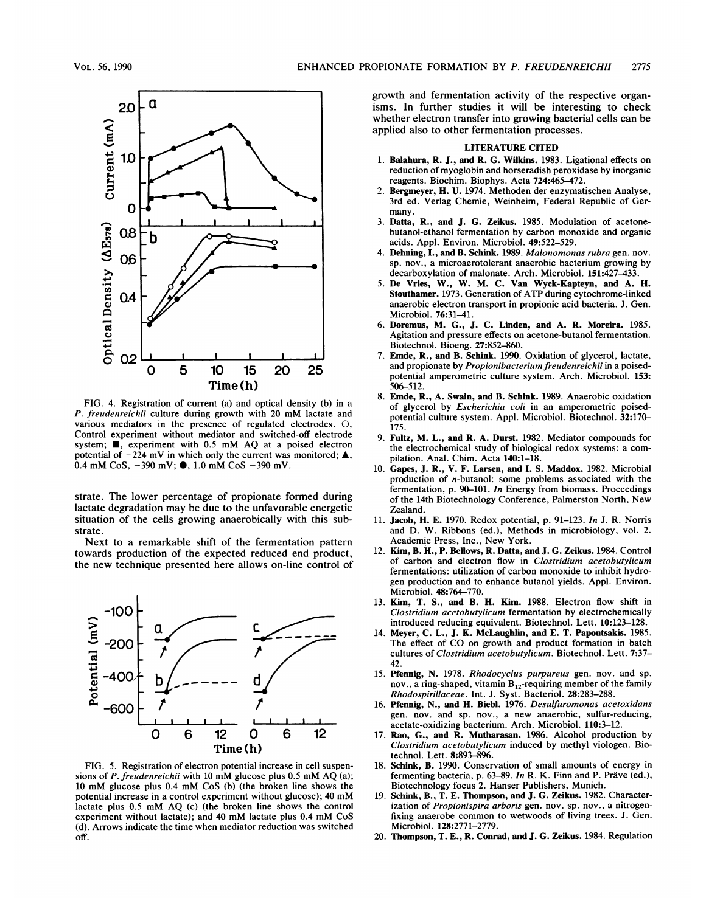

FIG. 4. Registration of current (a) and optical density (b) in a P. freudenreichii culture during growth with <sup>20</sup> mM lactate and various mediators in the presence of regulated electrodes. 0, Control experiment without mediator and switched-off electrode system;  $\blacksquare$ , experiment with 0.5 mM AQ at a poised electron potential of  $-224$  mV in which only the current was monitored;  $\triangle$ , 0.4 mM CoS,  $-390$  mV;  $\bullet$ , 1.0 mM CoS  $-390$  mV.

strate. The lower percentage of propionate formed during lactate degradation may be due to the unfavorable energetic situation of the cells growing anaerobically with this substrate.

Next to a remarkable shift of the fermentation pattern towards production of the expected reduced end product, the new technique presented here allows on-line control of



FIG. 5. Registration of electron potential increase in cell suspensions of P. freudenreichii with <sup>10</sup> mM glucose plus 0.5 mM AQ (a); <sup>10</sup> mM glucose plus 0.4 mM CoS (b) (the broken line shows the potential increase in <sup>a</sup> control experiment without glucose); <sup>40</sup> mM lactate plus 0.5 mM AQ (c) (the broken line shows the control experiment without lactate); and <sup>40</sup> mM lactate plus 0.4 mM CoS (d). Arrows indicate the time when mediator reduction was switched off.

growth and fermentation activity of the respective organisms. In further studies it will be interesting to check whether electron transfer into growing bacterial cells can be applied also to other fermentation processes.

## LITERATURE CITED

- 1. Balahura, R. J., and R. G. Wilkins. 1983. Ligational effects on reduction of myoglobin and horseradish peroxidase by inorganic reagents. Biochim. Biophys. Acta 724:465-472.
- 2. Bergmeyer, H. U. 1974. Methoden der enzymatischen Analyse, 3rd ed. Verlag Chemie, Weinheim, Federal Republic of Germany.
- 3. Datta, R., and J. G. Zeikus. 1985. Modulation of acetonebutanol-ethanol fermentation by carbon monoxide and organic acids. Appl. Environ. Microbiol. 49:522-529.
- 4. Dehning, I., and B. Schink. 1989. Malonomonas rubra gen. nov. sp. nov., a microaerotolerant anaerobic bacterium growing by decarboxylation of malonate. Arch. Microbiol. 151:427-433.
- 5. De Vries, W., W. M. C. Van Wyck-Kapteyn, and A. H. Stouthamer. 1973. Generation of ATP during cytochrome-linked anaerobic electron transport in propionic acid bacteria. J. Gen. Microbiol. 76:31-41.
- Doremus, M. G., J. C. Linden, and A. R. Moreira. 1985. Agitation and pressure effects on acetone-butanol fermentation. Biotechnol. Bioeng. 27:852-860.
- 7. Emde, R., and B. Schink. 1990. Oxidation of glycerol, lactate, and propionate by Propionibacterium freudenreichii in a poisedpotential amperometric culture system. Arch. Microbiol. 153: 506-512.
- 8. Emde, R., A. Swain, and B. Schink. 1989. Anaerobic oxidation of glycerol by Escherichia coli in an amperometric poisedpotential culture system. Appl. Microbiol. Biotechnol. 32:170- 175.
- 9. Fultz, M. L., and R. A. Durst. 1982. Mediator compounds for the electrochemical study of biological redox systems: a compilation. Anal. Chim. Acta 140:1-18.
- 10. Gapes, J. R., V. F. Larsen, and I. S. Maddox. 1982. Microbial production of n-butanol: some problems associated with the fermentation, p. 90-101. In Energy from biomass. Proceedings of the 14th Biotechnology Conference, Palmerston North, New Zealand.
- 11. Jacob, H. E. 1970. Redox potential, p. 91-123. In J. R. Norris and D. W. Ribbons (ed.), Methods in microbiology, vol. 2. Academic Press, Inc., New York.
- 12. Kim, B. H., P. Bellows, R. Datta, and J. G. Zeikus. 1984. Control of carbon and electron flow in Clostridium acetobutylicum fermentations: utilization of carbon monoxide to inhibit hydrogen production and to enhance butanol yields. Appl. Environ. Microbiol. 48:764-770.
- 13. Kim, T. S., and B. H. Kim. 1988. Electron flow shift in Clostridium acetobutylicum fermentation by electrochemically introduced reducing equivalent. Biotechnol. Lett. 10:123-128.
- 14. Meyer, C. L., J. K. McLaughlin, and E. T. Papoutsakis. 1985. The effect of CO on growth and product formation in batch cultures of Clostridium acetobutylicum. Biotechnol. Lett. 7:37- 42.
- 15. Pfennig, N. 1978. Rhodocyclus purpureus gen. nov. and sp. nov., a ring-shaped, vitamin  $B_{12}$ -requiring member of the family Rhodospirillaceae. Int. J. Syst. Bacteriol. 28:283-288.
- 16. Pfennig, N., and H. Biebl. 1976. Desulfuromonas acetoxidans gen. nov. and sp. nov., a new anaerobic, sulfur-reducing, acetate-oxidizing bacterium. Arch. Microbiol. 110:3-12.
- 17. Rao, G., and R. Mutharasan. 1986. Alcohol production by Clostridium acetobutylicum induced by methyl viologen. Biotechnol. Lett. 8:893-896.
- 18. Schink, B. 1990. Conservation of small amounts of energy in fermenting bacteria, p. 63-89. In R. K. Finn and P. Präve (ed.), Biotechnology focus 2. Hanser Publishers, Munich.
- 19. Schink, B., T. E. Thompson, and J. G. Zeikus. 1982. Characterization of Propionispira arboris gen. nov. sp. nov., a nitrogenfixing anaerobe common to wetwoods of living trees. J. Gen. Microbiol. 128:2771-2779.
- 20. Thompson, T. E., R. Conrad, and J. G. Zeikus. 1984. Regulation